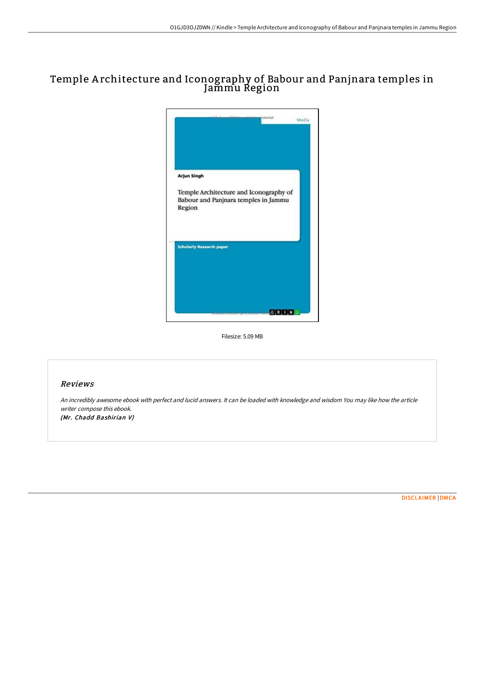# Temple A rchitecture and Iconography of Babour and Panjnara temples in Jammu Region



Filesize: 5.09 MB

### Reviews

An incredibly awesome ebook with perfect and lucid answers. It can be loaded with knowledge and wisdom You may like how the article writer compose this ebook. (Mr. Chadd Bashirian V)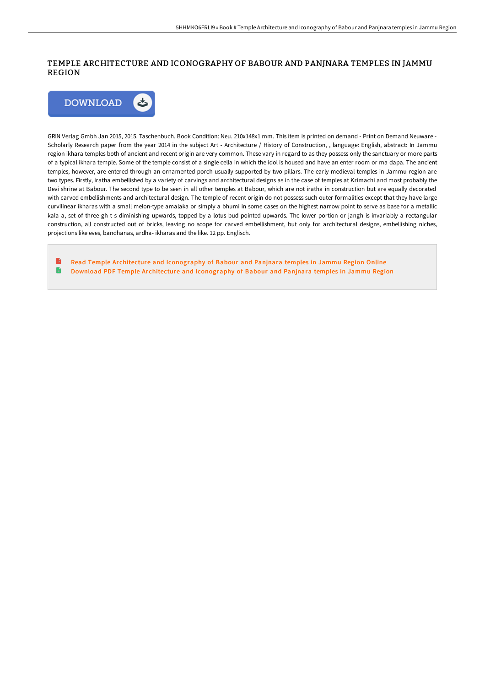## TEMPLE ARCHITECTURE AND ICONOGRAPHY OF BABOUR AND PANJNARA TEMPLES IN JAMMU REGION



GRIN Verlag Gmbh Jan 2015, 2015. Taschenbuch. Book Condition: Neu. 210x148x1 mm. This item is printed on demand - Print on Demand Neuware - Scholarly Research paper from the year 2014 in the subject Art - Architecture / History of Construction, , language: English, abstract: In Jammu region ikhara temples both of ancient and recent origin are very common. These vary in regard to as they possess only the sanctuary or more parts of a typical ikhara temple. Some of the temple consist of a single cella in which the idol is housed and have an enter room or ma dapa. The ancient temples, however, are entered through an ornamented porch usually supported by two pillars. The early medieval temples in Jammu region are two types. Firstly, iratha embellished by a variety of carvings and architectural designs as in the case of temples at Krimachi and most probably the Devi shrine at Babour. The second type to be seen in all other temples at Babour, which are not iratha in construction but are equally decorated with carved embellishments and architectural design. The temple of recent origin do not possess such outer formalities except that they have large curvilinear ikharas with a small melon-type amalaka or simply a bhumi in some cases on the highest narrow point to serve as base for a metallic kala a, set of three gh t s diminishing upwards, topped by a lotus bud pointed upwards. The lower portion or jangh is invariably a rectangular construction, all constructed out of bricks, leaving no scope for carved embellishment, but only for architectural designs, embellishing niches, projections like eves, bandhanas, ardha- ikharas and the like. 12 pp. Englisch.

Read Temple Ar chitecture and [Iconography](http://techno-pub.tech/temple-architecture-and-iconography-of-babour-an.html) of Babour and Panjnara temples in Jammu Region Online G Download PDF Temple Architecture and [Iconography](http://techno-pub.tech/temple-architecture-and-iconography-of-babour-an.html) of Babour and Panjnara temples in Jammu Region